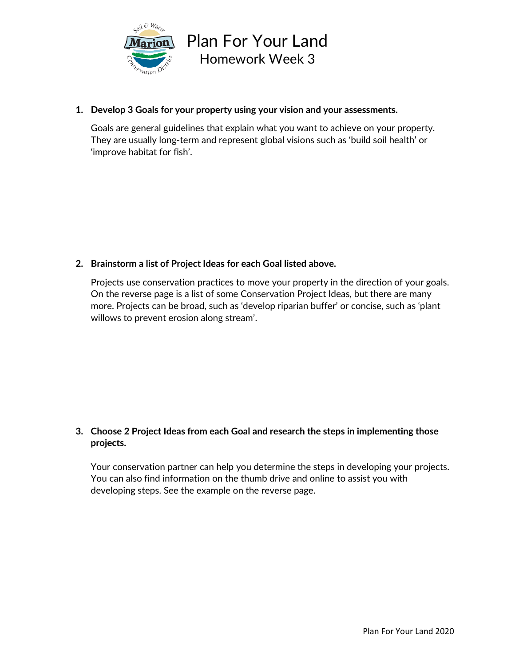

## **1. Develop 3 Goals for your property using your vision and your assessments.**

Goals are general guidelines that explain what you want to achieve on your property. They are usually long-term and represent global visions such as 'build soil health' or 'improve habitat for fish'.

# **2. Brainstorm a list of Project Ideas for each Goal listed above.**

Projects use conservation practices to move your property in the direction of your goals. On the reverse page is a list of some Conservation Project Ideas, but there are many more. Projects can be broad, such as 'develop riparian buffer' or concise, such as 'plant willows to prevent erosion along stream'.

# **3. Choose 2 Project Ideas from each Goal and research the steps in implementing those projects.**

Your conservation partner can help you determine the steps in developing your projects. You can also find information on the thumb drive and online to assist you with developing steps. See the example on the reverse page.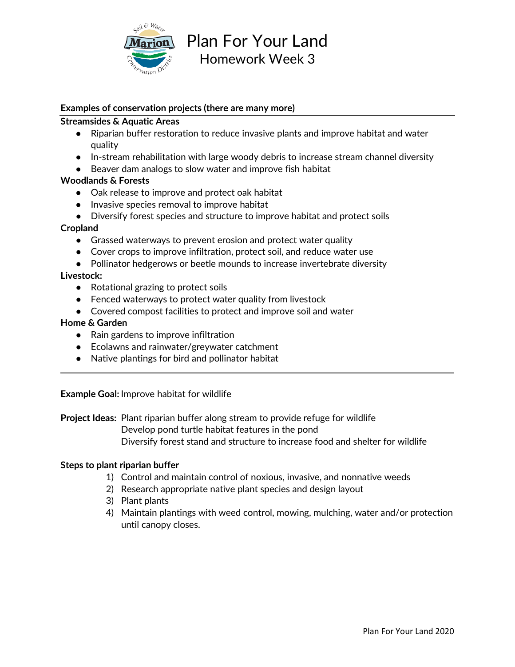

Plan For Your Land Homework Week 3

## **Examples of conservation projects (there are many more)**

## **Streamsides & Aquatic Areas**

- Riparian buffer restoration to reduce invasive plants and improve habitat and water quality
- In-stream rehabilitation with large woody debris to increase stream channel diversity
- Beaver dam analogs to slow water and improve fish habitat

### **Woodlands & Forests**

- Oak release to improve and protect oak habitat
- Invasive species removal to improve habitat
- Diversify forest species and structure to improve habitat and protect soils

### **Cropland**

- Grassed waterways to prevent erosion and protect water quality
- Cover crops to improve infiltration, protect soil, and reduce water use
- Pollinator hedgerows or beetle mounds to increase invertebrate diversity

## **Livestock:**

- Rotational grazing to protect soils
- Fenced waterways to protect water quality from livestock
- Covered compost facilities to protect and improve soil and water

#### **Home & Garden**

- Rain gardens to improve infiltration
- Ecolawns and rainwater/greywater catchment
- Native plantings for bird and pollinator habitat

**Example Goal:** Improve habitat for wildlife

**Project Ideas:** Plant riparian buffer along stream to provide refuge for wildlife

Develop pond turtle habitat features in the pond

Diversify forest stand and structure to increase food and shelter for wildlife

#### **Steps to plant riparian buffer**

- 1) Control and maintain control of noxious, invasive, and nonnative weeds
- 2) Research appropriate native plant species and design layout
- 3) Plant plants
- 4) Maintain plantings with weed control, mowing, mulching, water and/or protection until canopy closes.